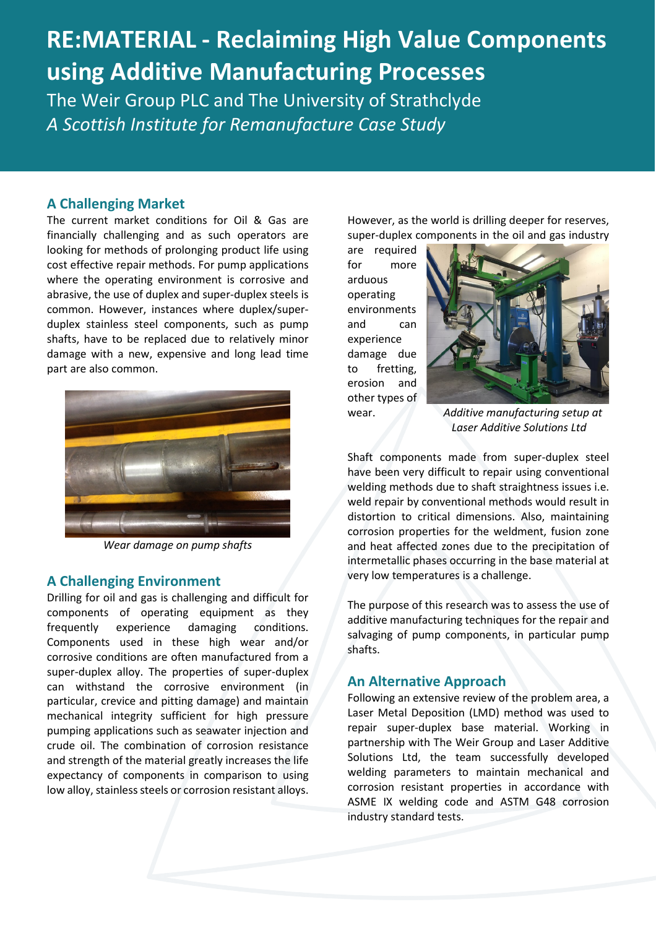# **RE:MATERIAL - Reclaiming High Value Components using Additive Manufacturing Processes**

The Weir Group PLC and The University of Strathclyde *A Scottish Institute for Remanufacture Case Study* 

## **A Challenging Market**

The current market conditions for Oil & Gas are financially challenging and as such operators are looking for methods of prolonging product life using cost effective repair methods. For pump applications where the operating environment is corrosive and abrasive, the use of duplex and super-duplex steels is common. However, instances where duplex/superduplex stainless steel components, such as pump shafts, have to be replaced due to relatively minor damage with a new, expensive and long lead time part are also common.



*Wear damage on pump shafts*

#### **A Challenging Environment**

Drilling for oil and gas is challenging and difficult for components of operating equipment as they frequently experience damaging conditions. Components used in these high wear and/or corrosive conditions are often manufactured from a super-duplex alloy. The properties of super-duplex can withstand the corrosive environment (in particular, crevice and pitting damage) and maintain mechanical integrity sufficient for high pressure pumping applications such as seawater injection and crude oil. The combination of corrosion resistance and strength of the material greatly increases the life expectancy of components in comparison to using low alloy, stainless steels or corrosion resistant alloys.

However, as the world is drilling deeper for reserves, super-duplex components in the oil and gas industry

are required for more arduous operating environments and can experience damage due to fretting, erosion and other types of



wear. *Additive manufacturing setup at Laser Additive Solutions Ltd*

Shaft components made from super-duplex steel have been very difficult to repair using conventional welding methods due to shaft straightness issues i.e. weld repair by conventional methods would result in distortion to critical dimensions. Also, maintaining corrosion properties for the weldment, fusion zone and heat affected zones due to the precipitation of intermetallic phases occurring in the base material at very low temperatures is a challenge.

The purpose of this research was to assess the use of additive manufacturing techniques for the repair and salvaging of pump components, in particular pump shafts.

## **An Alternative Approach**

Following an extensive review of the problem area, a Laser Metal Deposition (LMD) method was used to repair super-duplex base material. Working in partnership with The Weir Group and Laser Additive Solutions Ltd, the team successfully developed welding parameters to maintain mechanical and corrosion resistant properties in accordance with ASME IX welding code and ASTM G48 corrosion industry standard tests.